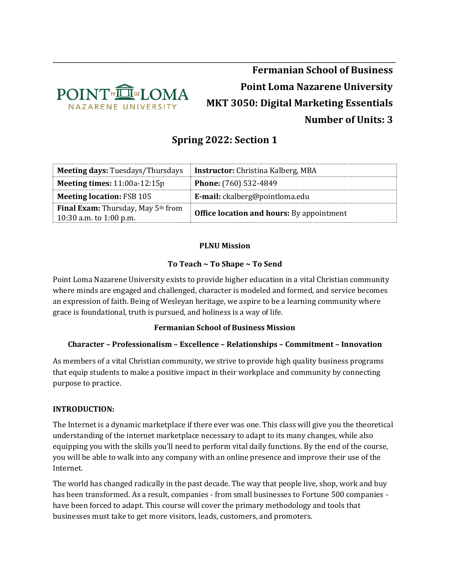

# **Fermanian School of Business Point Loma Nazarene University MKT 3050: Digital Marketing Essentials Number of Units: 3**

## **Spring 2022: Section 1**

\_\_\_\_\_\_\_\_\_\_\_\_\_\_\_\_\_\_\_\_\_\_\_\_\_\_\_\_\_\_\_\_\_\_\_\_\_\_\_\_\_\_\_\_\_\_\_\_\_\_\_\_\_\_\_\_\_\_\_\_\_\_\_\_\_\_\_\_\_\_\_\_\_\_\_\_\_\_

| <b>Meeting days: Tuesdays/Thursdays</b>                              | <b>Instructor:</b> Christina Kalberg, MBA        |
|----------------------------------------------------------------------|--------------------------------------------------|
| <b>Meeting times:</b> $11:00a-12:15p$                                | Phone: (760) 532-4849                            |
| <b>Meeting location: FSB 105</b>                                     | E-mail: ckalberg@pointloma.edu                   |
| <b>Final Exam:</b> Thursday, May 5th from<br>10:30 a.m. to 1:00 p.m. | <b>Office location and hours:</b> By appointment |

#### **PLNU Mission**

#### **To Teach ~ To Shape ~ To Send**

Point Loma Nazarene University exists to provide higher education in a vital Christian community where minds are engaged and challenged, character is modeled and formed, and service becomes an expression of faith. Being of Wesleyan heritage, we aspire to be a learning community where grace is foundational, truth is pursued, and holiness is a way of life.

#### **Fermanian School of Business Mission**

## **Character – Professionalism – Excellence – Relationships – Commitment – Innovation**

As members of a vital Christian community, we strive to provide high quality business programs that equip students to make a positive impact in their workplace and community by connecting purpose to practice.

#### **INTRODUCTION:**

The Internet is a dynamic marketplace if there ever was one. This class will give you the theoretical understanding of the internet marketplace necessary to adapt to its many changes, while also equipping you with the skills you'll need to perform vital daily functions. By the end of the course, you will be able to walk into any company with an online presence and improve their use of the Internet.

The world has changed radically in the past decade. The way that people live, shop, work and buy has been transformed. As a result, companies - from small businesses to Fortune 500 companies have been forced to adapt. This course will cover the primary methodology and tools that businesses must take to get more visitors, leads, customers, and promoters.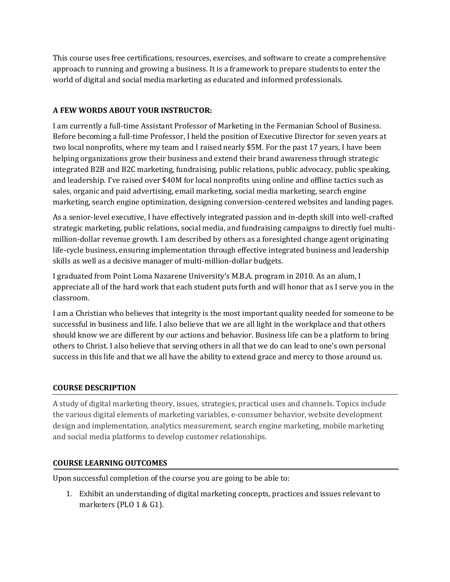This course uses free certifications, resources, exercises, and software to create a comprehensive approach to running and growing a business. It is a framework to prepare students to enter the world of digital and social media marketing as educated and informed professionals.

#### **A FEW WORDS ABOUT YOUR INSTRUCTOR:**

I am currently a full-time Assistant Professor of Marketing in the Fermanian School of Business. Before becoming a full-time Professor, I held the position of Executive Director for seven years at two local nonprofits, where my team and I raised nearly \$5M. For the past 17 years, I have been helping organizations grow their business and extend their brand awareness through strategic integrated B2B and B2C marketing, fundraising, public relations, public advocacy, public speaking, and leadership. I've raised over \$40M for local nonprofits using online and offline tactics such as sales, organic and paid advertising, email marketing, social media marketing, search engine marketing, search engine optimization, designing conversion-centered websites and landing pages.

As a senior-level executive, I have effectively integrated passion and in-depth skill into well-crafted strategic marketing, public relations, social media, and fundraising campaigns to directly fuel multimillion-dollar revenue growth. I am described by others as a foresighted change agent originating life-cycle business, ensuring implementation through effective integrated business and leadership skills as well as a decisive manager of multi-million-dollar budgets.

I graduated from Point Loma Nazarene University's M.B.A. program in 2010. As an alum, I appreciate all of the hard work that each student puts forth and will honor that as I serve you in the classroom.

I am a Christian who believes that integrity is the most important quality needed for someone to be successful in business and life. I also believe that we are all light in the workplace and that others should know we are different by our actions and behavior. Business life can be a platform to bring others to Christ. I also believe that serving others in all that we do can lead to one's own personal success in this life and that we all have the ability to extend grace and mercy to those around us.

## **COURSE DESCRIPTION**

A study of digital marketing theory, issues, strategies, practical uses and channels. Topics include the various digital elements of marketing variables, e-consumer behavior, website development design and implementation, analytics measurement, search engine marketing, mobile marketing and social media platforms to develop customer relationships.

#### **COURSE LEARNING OUTCOMES**

Upon successful completion of the course you are going to be able to:

1. Exhibit an understanding of digital marketing concepts, practices and issues relevant to marketers (PLO 1 & G1).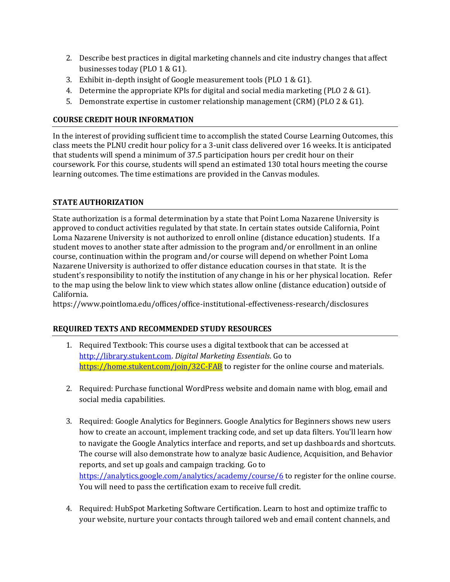- 2. Describe best practices in digital marketing channels and cite industry changes that affect businesses today (PLO 1 & G1).
- 3. Exhibit in-depth insight of Google measurement tools (PLO 1 & G1).
- 4. Determine the appropriate KPIs for digital and social media marketing (PLO 2 & G1).
- 5. Demonstrate expertise in customer relationship management (CRM) (PLO 2 & G1).

## **COURSE CREDIT HOUR INFORMATION**

In the interest of providing sufficient time to accomplish the stated Course Learning Outcomes, this class meets the PLNU credit hour policy for a 3-unit class delivered over 16 weeks. It is anticipated that students will spend a minimum of 37.5 participation hours per credit hour on their coursework. For this course, students will spend an estimated 130 total hours meeting the course learning outcomes. The time estimations are provided in the Canvas modules.

## **STATE AUTHORIZATION**

State authorization is a formal determination by a state that Point Loma Nazarene University is approved to conduct activities regulated by that state. In certain states outside California, Point Loma Nazarene University is not authorized to enroll online (distance education) students. If a student moves to another state after admission to the program and/or enrollment in an online course, continuation within the program and/or course will depend on whether Point Loma Nazarene University is authorized to offer distance education courses in that state. It is the student's responsibility to notify the institution of any change in his or her physical location. Refer to the map using the below link to view which states allow online (distance education) outside of California.

<https://www.pointloma.edu/offices/office-institutional-effectiveness-research/disclosures>

## **REQUIRED TEXTS AND RECOMMENDED STUDY RESOURCES**

- 1. Required Textbook: This course uses a digital textbook that can be accessed at [http://library.stukent.com.](http://library.stukent.com/) *Digital Marketing Essentials*. Go to <https://home.stukent.com/join/32C-FAB> to register for the online course and materials.
- 2. Required: Purchase functional WordPress website and domain name with blog, email and social media capabilities.
- 3. Required: Google Analytics for Beginners. Google Analytics for Beginners shows new users how to create an account, implement tracking code, and set up data filters. You'll learn how to navigate the Google Analytics interface and reports, and set up dashboards and shortcuts. The course will also demonstrate how to analyze basic Audience, Acquisition, and Behavior reports, and set up goals and campaign tracking. Go to <https://analytics.google.com/analytics/academy/course/6> to register for the online course. You will need to pass the certification exam to receive full credit.
- 4. Required: HubSpot Marketing Software Certification. Learn to host and optimize traffic to your website, nurture your contacts through tailored web and email content channels, and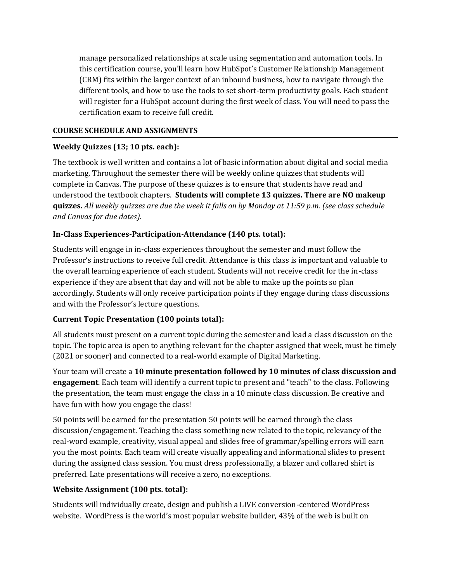manage personalized relationships at scale using segmentation and automation tools. In this certification course, you'll learn how HubSpot's Customer Relationship Management (CRM) fits within the larger context of an inbound business, how to navigate through the different tools, and how to use the tools to set short-term productivity goals. Each student will register for a HubSpot account during the first week of class. You will need to pass the certification exam to receive full credit.

#### **COURSE SCHEDULE AND ASSIGNMENTS**

#### **Weekly Quizzes (13; 10 pts. each):**

The textbook is well written and contains a lot of basic information about digital and social media marketing. Throughout the semester there will be weekly online quizzes that students will complete in Canvas. The purpose of these quizzes is to ensure that students have read and understood the textbook chapters. **Students will complete 13 quizzes. There are NO makeup quizzes.** *All weekly quizzes are due the week it falls on by Monday at 11:59 p.m. (see class schedule and Canvas for due dates).*

## **In-Class Experiences-Participation-Attendance (140 pts. total):**

Students will engage in in-class experiences throughout the semester and must follow the Professor's instructions to receive full credit. Attendance is this class is important and valuable to the overall learning experience of each student. Students will not receive credit for the in-class experience if they are absent that day and will not be able to make up the points so plan accordingly. Students will only receive participation points if they engage during class discussions and with the Professor's lecture questions.

## **Current Topic Presentation (100 points total):**

All students must present on a current topic during the semester and lead a class discussion on the topic. The topic area is open to anything relevant for the chapter assigned that week, must be timely (2021 or sooner) and connected to a real-world example of Digital Marketing.

Your team will create a **10 minute presentation followed by 10 minutes of class discussion and engagement**. Each team will identify a current topic to present and "teach" to the class. Following the presentation, the team must engage the class in a 10 minute class discussion. Be creative and have fun with how you engage the class!

50 points will be earned for the presentation 50 points will be earned through the class discussion/engagement. Teaching the class something new related to the topic, relevancy of the real-word example, creativity, visual appeal and slides free of grammar/spelling errors will earn you the most points. Each team will create visually appealing and informational slides to present during the assigned class session. You must dress professionally, a blazer and collared shirt is preferred. Late presentations will receive a zero, no exceptions.

## **Website Assignment (100 pts. total):**

Students will individually create, design and publish a LIVE conversion-centered WordPress website. WordPress is the world's most popular website builder, 43% of the web is built on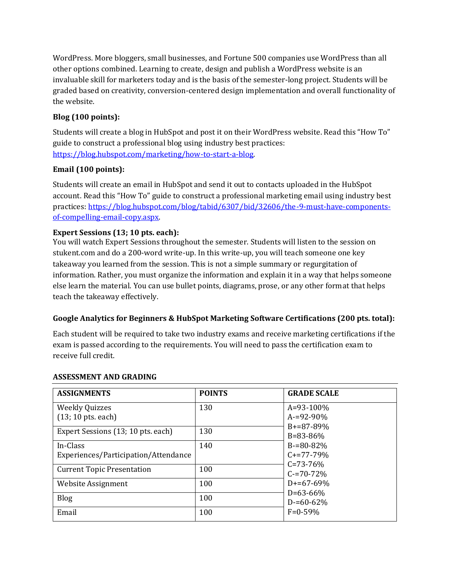WordPress. More bloggers, small businesses, and Fortune 500 companies use WordPress than all other options combined. Learning to create, design and publish a WordPress website is an invaluable skill for marketers today and is the basis of the semester-long project. Students will be graded based on creativity, conversion-centered design implementation and overall functionality of the website.

## **Blog (100 points):**

Students will create a blog in HubSpot and post it on their WordPress website. Read this "How To" guide to construct a professional blog using industry best practices: [https://blog.hubspot.com/marketing/how-to-start-a-blog.](https://blog.hubspot.com/marketing/how-to-start-a-blog)

## **Email (100 points):**

Students will create an email in HubSpot and send it out to contacts uploaded in the HubSpot account. Read this "How To" guide to construct a professional marketing email using industry best practices: [https://blog.hubspot.com/blog/tabid/6307/bid/32606/the-9-must-have-components](https://blog.hubspot.com/blog/tabid/6307/bid/32606/the-9-must-have-components-of-compelling-email-copy.aspx)[of-compelling-email-copy.aspx.](https://blog.hubspot.com/blog/tabid/6307/bid/32606/the-9-must-have-components-of-compelling-email-copy.aspx)

## **Expert Sessions (13; 10 pts. each):**

You will watch Expert Sessions throughout the semester. Students will listen to the session on stukent.com and do a 200-word write-up. In this write-up, you will teach someone one key takeaway you learned from the session. This is not a simple summary or regurgitation of information. Rather, you must organize the information and explain it in a way that helps someone else learn the material. You can use bullet points, diagrams, prose, or any other format that helps teach the takeaway effectively.

## **Google Analytics for Beginners & HubSpot Marketing Software Certifications (200 pts. total):**

Each student will be required to take two industry exams and receive marketing certifications if the exam is passed according to the requirements. You will need to pass the certification exam to receive full credit.

| <b>ASSIGNMENTS</b>                   | <b>POINTS</b> | <b>GRADE SCALE</b>                 |
|--------------------------------------|---------------|------------------------------------|
| <b>Weekly Quizzes</b>                | 130           | A=93-100%                          |
| $(13; 10 \text{ pts.}$ each)         |               | $A = 92 - 90\%$                    |
| Expert Sessions (13; 10 pts. each)   | 130           | $B = 87 - 89\%$                    |
| In-Class                             | 140           | $B = 83 - 86\%$<br>$B = 80 - 82\%$ |
| Experiences/Participation/Attendance |               | $C+=77-79%$                        |
| <b>Current Topic Presentation</b>    | 100           | $C = 73 - 76%$<br>$C = 70 - 72\%$  |
| Website Assignment                   | 100           | $D+=67-69%$<br>$D=63-66%$          |
| <b>Blog</b>                          | 100           | $D = 60 - 62%$                     |
| Email                                | 100           | $F = 0.59\%$                       |

## **ASSESSMENT AND GRADING**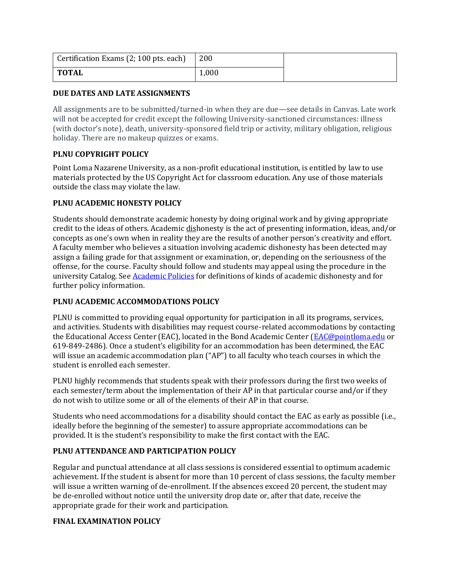| Certification Exams (2; 100 pts. each) | 200   |  |
|----------------------------------------|-------|--|
| <b>TOTAL</b>                           | 1,000 |  |

#### **DUE DATES AND LATE ASSIGNMENTS**

All assignments are to be submitted/turned-in when they are due—see details in Canvas. Late work will not be accepted for credit except the following University-sanctioned circumstances: illness (with doctor's note), death, university-sponsored field trip or activity, military obligation, religious holiday. There are no makeup quizzes or exams.

## **PLNU COPYRIGHT POLICY**

Point Loma Nazarene University, as a non-profit educational institution, is entitled by law to use materials protected by the US Copyright Act for classroom education. Any use of those materials outside the class may violate the law.

#### **PLNU ACADEMIC HONESTY POLICY**

Students should demonstrate academic honesty by doing original work and by giving appropriate credit to the ideas of others. Academic dishonesty is the act of presenting information, ideas, and/or concepts as one's own when in reality they are the results of another person's creativity and effort. A faculty member who believes a situation involving academic dishonesty has been detected may assign a failing grade for that assignment or examination, or, depending on the seriousness of the offense, for the course. Faculty should follow and students may appeal using the procedure in the university Catalog. See **[Academic Policies](https://catalog.pointloma.edu/content.php?catoid=28&navoid=1761#Academic_Honesty)** for definitions of kinds of academic dishonesty and for further policy information.

## **PLNU ACADEMIC ACCOMMODATIONS POLICY**

PLNU is committed to providing equal opportunity for participation in all its programs, services, and activities. Students with disabilities may request course-related accommodations by contacting the Educational Access Center (EAC), located in the Bond Academic Center [\(EAC@pointloma.edu](mailto:EAC@pointloma.edu) or 619-849-2486). Once a student's eligibility for an accommodation has been determined, the EAC will issue an academic accommodation plan ("AP") to all faculty who teach courses in which the student is enrolled each semester.

PLNU highly recommends that students speak with their professors during the first two weeks of each semester/term about the implementation of their AP in that particular course and/or if they do not wish to utilize some or all of the elements of their AP in that course.

Students who need accommodations for a disability should contact the EAC as early as possible (i.e., ideally before the beginning of the semester) to assure appropriate accommodations can be provided. It is the student's responsibility to make the first contact with the EAC.

#### **PLNU ATTENDANCE AND PARTICIPATION POLICY**

Regular and punctual attendance at all class sessions is considered essential to optimum academic achievement. If the student is absent for more than 10 percent of class sessions, the faculty member will issue a written warning of de-enrollment. If the absences exceed 20 percent, the student may be de-enrolled without notice until the university drop date or, after that date, receive the appropriate grade for their work and participation.

## **FINAL EXAMINATION POLICY**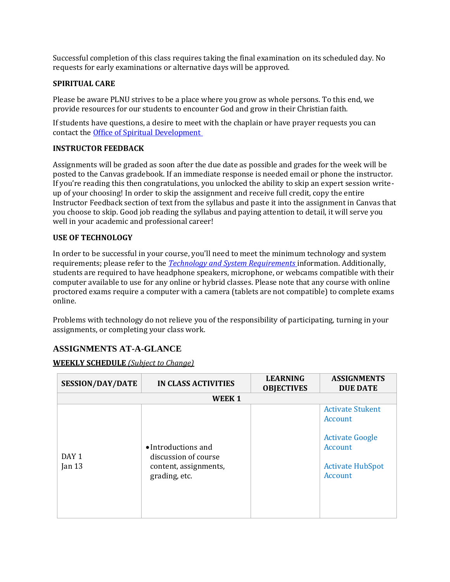Successful completion of this class requires taking the final examination on its scheduled day. No requests for early examinations or alternative days will be approved.

#### **SPIRITUAL CARE**

Please be aware PLNU strives to be a place where you grow as whole persons. To this end, we provide resources for our students to encounter God and grow in their Christian faith.

If students have questions, a desire to meet with the chaplain or have prayer requests you can contact th[e Office of Spiritual Development](https://www.pointloma.edu/offices/spiritual-development)

#### **INSTRUCTOR FEEDBACK**

Assignments will be graded as soon after the due date as possible and grades for the week will be posted to the Canvas gradebook. If an immediate response is needed email or phone the instructor. If you're reading this then congratulations, you unlocked the ability to skip an expert session writeup of your choosing! In order to skip the assignment and receive full credit, copy the entire Instructor Feedback section of text from the syllabus and paste it into the assignment in Canvas that you choose to skip. Good job reading the syllabus and paying attention to detail, it will serve you well in your academic and professional career!

#### **USE OF TECHNOLOGY**

In order to be successful in your course, you'll need to meet the minimum technology and system requirements; please refer to the *[Technology and System Requirements](https://help.pointloma.edu/TDClient/1808/Portal/KB/ArticleDet?ID=108349)* information. Additionally, students are required to have headphone speakers, microphone, or webcams compatible with their computer available to use for any online or hybrid classes. Please note that any course with online proctored exams require a computer with a camera (tablets are not compatible) to complete exams online.

Problems with technology do not relieve you of the responsibility of participating, turning in your assignments, or completing your class work.

## **ASSIGNMENTS AT-A-GLANCE**

#### **WEEKLY SCHEDULE** *(Subject to Change)*

| <b>SESSION/DAY/DATE</b>      | <b>IN CLASS ACTIVITIES</b>                                                            | <b>LEARNING</b><br><b>OBJECTIVES</b> | <b>ASSIGNMENTS</b><br><b>DUE DATE</b>                                                                         |
|------------------------------|---------------------------------------------------------------------------------------|--------------------------------------|---------------------------------------------------------------------------------------------------------------|
|                              | WEEK 1                                                                                |                                      |                                                                                                               |
| DAY <sub>1</sub><br>Jan $13$ | • Introductions and<br>discussion of course<br>content, assignments,<br>grading, etc. |                                      | <b>Activate Stukent</b><br>Account<br><b>Activate Google</b><br>Account<br><b>Activate HubSpot</b><br>Account |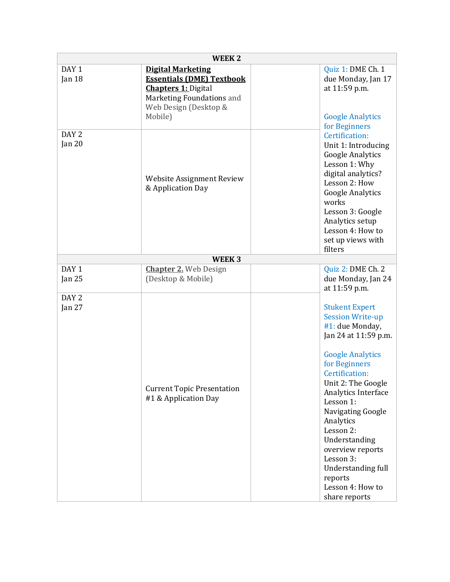| WEEK <sub>2</sub>          |                                                                                                                                                             |                                                                                                                                                                                                                                                                                                                                                                                            |
|----------------------------|-------------------------------------------------------------------------------------------------------------------------------------------------------------|--------------------------------------------------------------------------------------------------------------------------------------------------------------------------------------------------------------------------------------------------------------------------------------------------------------------------------------------------------------------------------------------|
| DAY 1<br>Jan 18            | <b>Digital Marketing</b><br><b>Essentials (DME) Textbook</b><br><b>Chapters 1: Digital</b><br>Marketing Foundations and<br>Web Design (Desktop &<br>Mobile) | Quiz 1: DME Ch. 1<br>due Monday, Jan 17<br>at 11:59 p.m.<br><b>Google Analytics</b><br>for Beginners                                                                                                                                                                                                                                                                                       |
| DAY <sub>2</sub><br>Jan 20 | Website Assignment Review<br>& Application Day                                                                                                              | Certification:<br>Unit 1: Introducing<br><b>Google Analytics</b><br>Lesson 1: Why<br>digital analytics?<br>Lesson 2: How<br><b>Google Analytics</b><br>works<br>Lesson 3: Google<br>Analytics setup<br>Lesson 4: How to<br>set up views with<br>filters                                                                                                                                    |
|                            | WEEK <sub>3</sub>                                                                                                                                           |                                                                                                                                                                                                                                                                                                                                                                                            |
| DAY <sub>1</sub><br>Jan 25 | <b>Chapter 2.</b> Web Design<br>(Desktop & Mobile)                                                                                                          | Quiz 2: DME Ch. 2<br>due Monday, Jan 24<br>at 11:59 p.m.                                                                                                                                                                                                                                                                                                                                   |
| DAY <sub>2</sub><br>Jan 27 | <b>Current Topic Presentation</b><br>#1 & Application Day                                                                                                   | <b>Stukent Expert</b><br><b>Session Write-up</b><br>#1: due Monday,<br>Jan 24 at 11:59 p.m.<br><b>Google Analytics</b><br>for Beginners<br>Certification:<br>Unit 2: The Google<br>Analytics Interface<br>Lesson 1:<br>Navigating Google<br>Analytics<br>Lesson 2:<br>Understanding<br>overview reports<br>Lesson 3:<br>Understanding full<br>reports<br>Lesson 4: How to<br>share reports |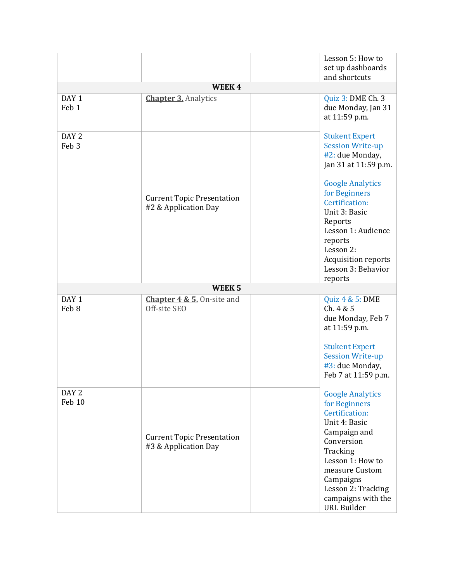|                                      |                                                           | Lesson 5: How to                                                                                                                                                                                                                                                                            |
|--------------------------------------|-----------------------------------------------------------|---------------------------------------------------------------------------------------------------------------------------------------------------------------------------------------------------------------------------------------------------------------------------------------------|
|                                      |                                                           | set up dashboards                                                                                                                                                                                                                                                                           |
|                                      |                                                           | and shortcuts                                                                                                                                                                                                                                                                               |
|                                      | WEEK4                                                     |                                                                                                                                                                                                                                                                                             |
| DAY <sub>1</sub><br>Feb 1            | <b>Chapter 3. Analytics</b>                               | Quiz 3: DME Ch. 3<br>due Monday, Jan 31<br>at 11:59 p.m.                                                                                                                                                                                                                                    |
| DAY <sub>2</sub><br>Feb <sub>3</sub> | <b>Current Topic Presentation</b><br>#2 & Application Day | <b>Stukent Expert</b><br><b>Session Write-up</b><br>#2: due Monday,<br>Jan 31 at 11:59 p.m.<br><b>Google Analytics</b><br>for Beginners<br>Certification:<br>Unit 3: Basic<br>Reports<br>Lesson 1: Audience<br>reports<br>Lesson 2:<br>Acquisition reports<br>Lesson 3: Behavior<br>reports |
|                                      | WEEK <sub>5</sub>                                         |                                                                                                                                                                                                                                                                                             |
| DAY <sub>1</sub><br>Feb 8            | <b>Chapter 4 &amp; 5.</b> On-site and<br>Off-site SEO     | Quiz 4 & 5: DME<br>Ch. 4 & 5<br>due Monday, Feb 7<br>at 11:59 p.m.<br><b>Stukent Expert</b><br><b>Session Write-up</b><br>#3: due Monday,<br>Feb 7 at 11:59 p.m.                                                                                                                            |
| DAY <sub>2</sub><br>Feb 10           | <b>Current Topic Presentation</b><br>#3 & Application Day | <b>Google Analytics</b><br>for Beginners<br>Certification:<br>Unit 4: Basic<br>Campaign and<br>Conversion<br>Tracking<br>Lesson 1: How to<br>measure Custom<br>Campaigns<br>Lesson 2: Tracking<br>campaigns with the<br><b>URL Builder</b>                                                  |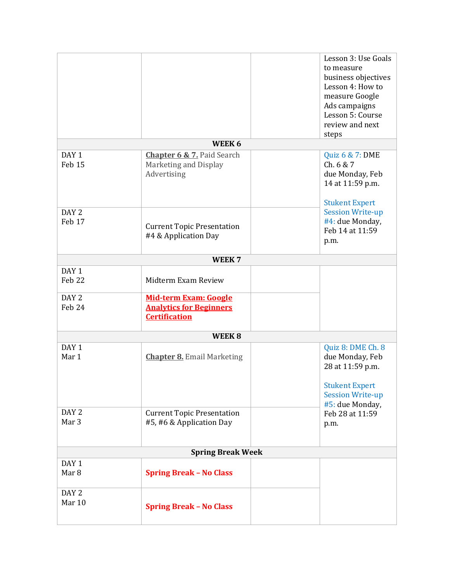|                   |                                                                | Lesson 3: Use Goals                        |
|-------------------|----------------------------------------------------------------|--------------------------------------------|
|                   |                                                                | to measure                                 |
|                   |                                                                | business objectives                        |
|                   |                                                                | Lesson 4: How to                           |
|                   |                                                                | measure Google                             |
|                   |                                                                | Ads campaigns                              |
|                   |                                                                | Lesson 5: Course                           |
|                   |                                                                | review and next                            |
|                   |                                                                | steps                                      |
|                   | WEEK 6                                                         |                                            |
| DAY <sub>1</sub>  | <b>Chapter 6 &amp; 7. Paid Search</b>                          | Quiz 6 & 7: DME                            |
| Feb <sub>15</sub> | Marketing and Display                                          | Ch. 6 & 7                                  |
|                   | Advertising                                                    | due Monday, Feb                            |
|                   |                                                                | 14 at 11:59 p.m.                           |
|                   |                                                                |                                            |
| DAY <sub>2</sub>  |                                                                | <b>Stukent Expert</b>                      |
|                   |                                                                | <b>Session Write-up</b>                    |
| Feb 17            | <b>Current Topic Presentation</b>                              | #4: due Monday,<br>Feb 14 at 11:59         |
|                   | #4 & Application Day                                           |                                            |
|                   |                                                                | p.m.                                       |
|                   | WEEK <sub>7</sub>                                              |                                            |
| DAY <sub>1</sub>  |                                                                |                                            |
| Feb 22            | Midterm Exam Review                                            |                                            |
| DAY <sub>2</sub>  |                                                                |                                            |
| Feb 24            | <b>Mid-term Exam: Google</b><br><b>Analytics for Beginners</b> |                                            |
|                   | <b>Certification</b>                                           |                                            |
|                   |                                                                |                                            |
|                   | WEEK <sub>8</sub>                                              |                                            |
| DAY <sub>1</sub>  |                                                                | Quiz 8: DME Ch. 8                          |
| Mar 1             | <b>Chapter 8.</b> Email Marketing                              | due Monday, Feb                            |
|                   |                                                                | 28 at 11:59 p.m.                           |
|                   |                                                                |                                            |
|                   |                                                                | <b>Stukent Expert</b>                      |
|                   |                                                                | <b>Session Write-up</b><br>#5: due Monday, |
| DAY <sub>2</sub>  | <b>Current Topic Presentation</b>                              | Feb 28 at 11:59                            |
| Mar <sub>3</sub>  | #5, #6 & Application Day                                       |                                            |
|                   |                                                                | p.m.                                       |
|                   |                                                                |                                            |
|                   | <b>Spring Break Week</b>                                       |                                            |
| DAY <sub>1</sub>  |                                                                |                                            |
| Mar <sub>8</sub>  | <b>Spring Break - No Class</b>                                 |                                            |
|                   |                                                                |                                            |
| DAY <sub>2</sub>  |                                                                |                                            |
| Mar 10            | <b>Spring Break - No Class</b>                                 |                                            |
|                   |                                                                |                                            |
|                   |                                                                |                                            |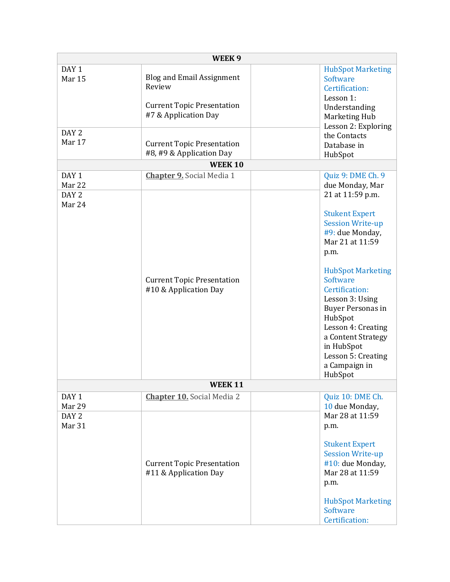| WEEK <sub>9</sub>                                        |                                                                                                                                              |                                                                                                                                                                                                                                                                                                                                                    |  |
|----------------------------------------------------------|----------------------------------------------------------------------------------------------------------------------------------------------|----------------------------------------------------------------------------------------------------------------------------------------------------------------------------------------------------------------------------------------------------------------------------------------------------------------------------------------------------|--|
| DAY <sub>1</sub><br>Mar 15<br>DAY <sub>2</sub><br>Mar 17 | <b>Blog and Email Assignment</b><br>Review<br><b>Current Topic Presentation</b><br>#7 & Application Day<br><b>Current Topic Presentation</b> | <b>HubSpot Marketing</b><br>Software<br>Certification:<br>Lesson 1:<br>Understanding<br>Marketing Hub<br>Lesson 2: Exploring<br>the Contacts<br>Database in                                                                                                                                                                                        |  |
|                                                          | #8, #9 & Application Day<br><b>WEEK 10</b>                                                                                                   | HubSpot                                                                                                                                                                                                                                                                                                                                            |  |
|                                                          |                                                                                                                                              |                                                                                                                                                                                                                                                                                                                                                    |  |
| DAY <sub>1</sub><br>Mar 22                               | <b>Chapter 9.</b> Social Media 1                                                                                                             | Quiz 9: DME Ch. 9<br>due Monday, Mar                                                                                                                                                                                                                                                                                                               |  |
| DAY <sub>2</sub><br>Mar 24                               | <b>Current Topic Presentation</b><br>#10 & Application Day                                                                                   | 21 at 11:59 p.m.<br><b>Stukent Expert</b><br><b>Session Write-up</b><br>#9: due Monday,<br>Mar 21 at 11:59<br>p.m.<br><b>HubSpot Marketing</b><br>Software<br>Certification:<br>Lesson 3: Using<br><b>Buyer Personas in</b><br>HubSpot<br>Lesson 4: Creating<br>a Content Strategy<br>in HubSpot<br>Lesson 5: Creating<br>a Campaign in<br>HubSpot |  |
|                                                          | <b>WEEK 11</b>                                                                                                                               |                                                                                                                                                                                                                                                                                                                                                    |  |
| DAY <sub>1</sub><br>Mar 29<br>DAY <sub>2</sub>           | <b>Chapter 10.</b> Social Media 2                                                                                                            | Quiz 10: DME Ch.<br>10 due Monday,<br>Mar 28 at 11:59                                                                                                                                                                                                                                                                                              |  |
| Mar 31                                                   | <b>Current Topic Presentation</b><br>#11 & Application Day                                                                                   | p.m.<br><b>Stukent Expert</b><br><b>Session Write-up</b><br>#10: due Monday,<br>Mar 28 at 11:59<br>p.m.<br><b>HubSpot Marketing</b><br>Software<br>Certification:                                                                                                                                                                                  |  |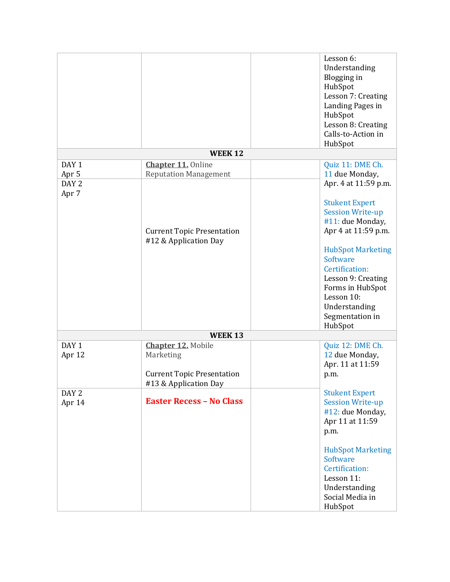|                           |                                                            | Lesson 6:<br>Understanding<br>Blogging in<br>HubSpot |
|---------------------------|------------------------------------------------------------|------------------------------------------------------|
|                           |                                                            | Lesson 7: Creating<br>Landing Pages in               |
|                           |                                                            | HubSpot<br>Lesson 8: Creating<br>Calls-to-Action in  |
|                           |                                                            | HubSpot                                              |
|                           | <b>WEEK 12</b>                                             |                                                      |
| DAY <sub>1</sub>          | <b>Chapter 11. Online</b><br><b>Reputation Management</b>  | Quiz 11: DME Ch.<br>11 due Monday,                   |
| Apr 5<br>DAY <sub>2</sub> |                                                            | Apr. 4 at 11:59 p.m.                                 |
| Apr 7                     |                                                            |                                                      |
|                           |                                                            | <b>Stukent Expert</b>                                |
|                           |                                                            | <b>Session Write-up</b>                              |
|                           |                                                            | #11: due Monday,                                     |
|                           | <b>Current Topic Presentation</b><br>#12 & Application Day | Apr 4 at 11:59 p.m.                                  |
|                           |                                                            | <b>HubSpot Marketing</b>                             |
|                           |                                                            | Software                                             |
|                           |                                                            | Certification:                                       |
|                           |                                                            | Lesson 9: Creating                                   |
|                           |                                                            | Forms in HubSpot<br>Lesson 10:                       |
|                           |                                                            | Understanding                                        |
|                           |                                                            | Segmentation in                                      |
|                           |                                                            | HubSpot                                              |
|                           | <b>WEEK13</b>                                              |                                                      |
| DAY <sub>1</sub>          | <b>Chapter 12. Mobile</b>                                  | Quiz 12: DME Ch.                                     |
| Apr 12                    | Marketing                                                  | 12 due Monday,                                       |
|                           | <b>Current Topic Presentation</b>                          | Apr. 11 at 11:59<br>p.m.                             |
|                           | #13 & Application Day                                      |                                                      |
| DAY <sub>2</sub>          |                                                            | <b>Stukent Expert</b>                                |
| Apr 14                    | <b>Easter Recess - No Class</b>                            | <b>Session Write-up</b>                              |
|                           |                                                            | #12: due Monday,                                     |
|                           |                                                            | Apr 11 at 11:59                                      |
|                           |                                                            | p.m.                                                 |
|                           |                                                            | <b>HubSpot Marketing</b>                             |
|                           |                                                            | <b>Software</b>                                      |
|                           |                                                            | Certification:                                       |
|                           |                                                            | Lesson 11:                                           |
|                           |                                                            | Understanding<br>Social Media in                     |
|                           |                                                            | HubSpot                                              |